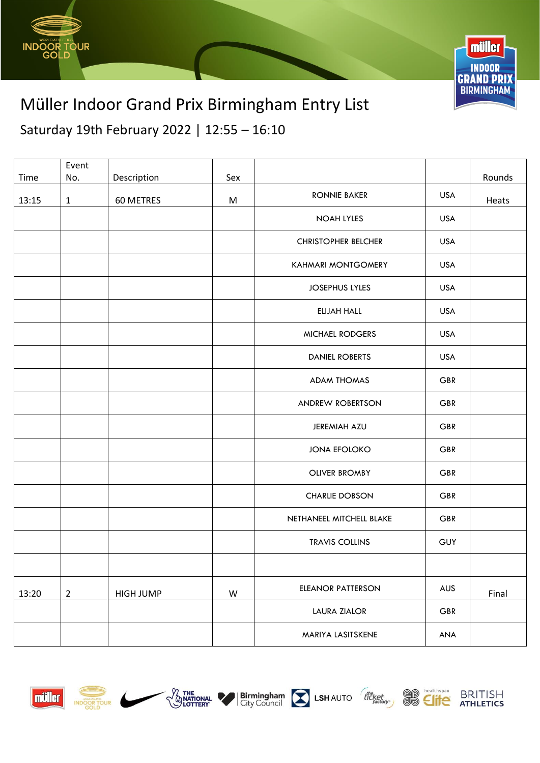

## Müller Indoor Grand Prix Birmingham Entry List

**EN THE MATIONAL** 

Z

Saturday 19th February 2022 | 12:55 – 16:10

|       | Event          |                  |           |                            |            |        |
|-------|----------------|------------------|-----------|----------------------------|------------|--------|
| Time  | No.            | Description      | Sex       |                            |            | Rounds |
| 13:15 | $\mathbf{1}$   | 60 METRES        | M         | RONNIE BAKER               | <b>USA</b> | Heats  |
|       |                |                  |           | <b>NOAH LYLES</b>          | <b>USA</b> |        |
|       |                |                  |           | <b>CHRISTOPHER BELCHER</b> | <b>USA</b> |        |
|       |                |                  |           | KAHMARI MONTGOMERY         | <b>USA</b> |        |
|       |                |                  |           | <b>JOSEPHUS LYLES</b>      | <b>USA</b> |        |
|       |                |                  |           | <b>ELIJAH HALL</b>         | <b>USA</b> |        |
|       |                |                  |           | MICHAEL RODGERS            | <b>USA</b> |        |
|       |                |                  |           | <b>DANIEL ROBERTS</b>      | <b>USA</b> |        |
|       |                |                  |           | <b>ADAM THOMAS</b>         | <b>GBR</b> |        |
|       |                |                  |           | ANDREW ROBERTSON           | <b>GBR</b> |        |
|       |                |                  |           | JEREMIAH AZU               | <b>GBR</b> |        |
|       |                |                  |           | <b>JONA EFOLOKO</b>        | GBR        |        |
|       |                |                  |           | <b>OLIVER BROMBY</b>       | GBR        |        |
|       |                |                  |           | <b>CHARLIE DOBSON</b>      | GBR        |        |
|       |                |                  |           | NETHANEEL MITCHELL BLAKE   | <b>GBR</b> |        |
|       |                |                  |           | <b>TRAVIS COLLINS</b>      | <b>GUY</b> |        |
|       |                |                  |           |                            |            |        |
| 13:20 | $\overline{2}$ | <b>HIGH JUMP</b> | ${\sf W}$ | <b>ELEANOR PATTERSON</b>   | <b>AUS</b> | Final  |
|       |                |                  |           | <b>LAURA ZIALOR</b>        | GBR        |        |
|       |                |                  |           | MARIYA LASITSKENE          | ANA        |        |



INDOOR TOUR



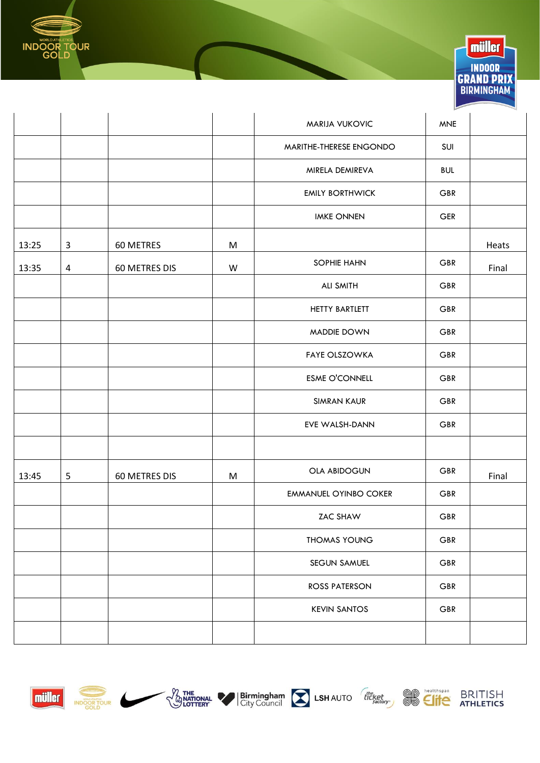



|       |   |               |   |                              | ∽          | ∼.    |
|-------|---|---------------|---|------------------------------|------------|-------|
|       |   |               |   | MARIJA VUKOVIC               | <b>MNE</b> |       |
|       |   |               |   | MARITHE-THERESE ENGONDO      | SUI        |       |
|       |   |               |   | MIRELA DEMIREVA              | <b>BUL</b> |       |
|       |   |               |   | <b>EMILY BORTHWICK</b>       | <b>GBR</b> |       |
|       |   |               |   | <b>IMKE ONNEN</b>            | <b>GER</b> |       |
| 13:25 | 3 | 60 METRES     | M |                              |            | Heats |
| 13:35 | 4 | 60 METRES DIS | W | <b>SOPHIE HAHN</b>           | GBR        | Final |
|       |   |               |   | <b>ALI SMITH</b>             | GBR        |       |
|       |   |               |   | HETTY BARTLETT               | GBR        |       |
|       |   |               |   | MADDIE DOWN                  | GBR        |       |
|       |   |               |   | <b>FAYE OLSZOWKA</b>         | GBR        |       |
|       |   |               |   | <b>ESME O'CONNELL</b>        | GBR        |       |
|       |   |               |   | <b>SIMRAN KAUR</b>           | <b>GBR</b> |       |
|       |   |               |   | EVE WALSH-DANN               | GBR        |       |
|       |   |               |   |                              |            |       |
| 13:45 | 5 | 60 METRES DIS | M | <b>OLA ABIDOGUN</b>          | GBR        | Final |
|       |   |               |   | <b>EMMANUEL OYINBO COKER</b> | GBR        |       |
|       |   |               |   | ZAC SHAW                     | GBR        |       |
|       |   |               |   | <b>THOMAS YOUNG</b>          | GBR        |       |
|       |   |               |   | SEGUN SAMUEL                 | GBR        |       |
|       |   |               |   | <b>ROSS PATERSON</b>         | GBR        |       |
|       |   |               |   | <b>KEVIN SANTOS</b>          | GBR        |       |
|       |   |               |   |                              |            |       |
|       |   |               |   |                              |            |       |







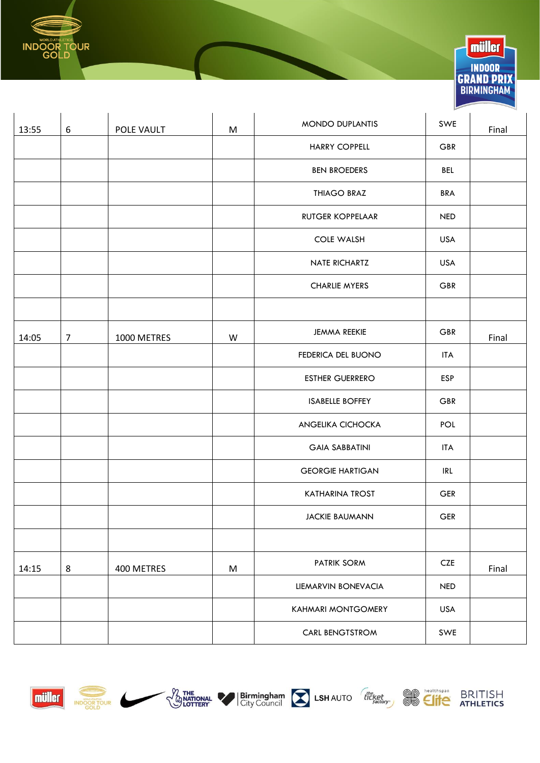



|       |                |             |   |                         | $\sim$     | $\overline{\phantom{0}}$ |
|-------|----------------|-------------|---|-------------------------|------------|--------------------------|
| 13:55 | 6              | POLE VAULT  | M | MONDO DUPLANTIS         | SWE        | Final                    |
|       |                |             |   | <b>HARRY COPPELL</b>    | GBR        |                          |
|       |                |             |   | <b>BEN BROEDERS</b>     | <b>BEL</b> |                          |
|       |                |             |   | <b>THIAGO BRAZ</b>      | <b>BRA</b> |                          |
|       |                |             |   | <b>RUTGER KOPPELAAR</b> | <b>NED</b> |                          |
|       |                |             |   | <b>COLE WALSH</b>       | <b>USA</b> |                          |
|       |                |             |   | NATE RICHARTZ           | <b>USA</b> |                          |
|       |                |             |   | <b>CHARLIE MYERS</b>    | <b>GBR</b> |                          |
|       |                |             |   |                         |            |                          |
| 14:05 | $\overline{7}$ | 1000 METRES | W | JEMMA REEKIE            | GBR        | Final                    |
|       |                |             |   | FEDERICA DEL BUONO      | <b>ITA</b> |                          |
|       |                |             |   | <b>ESTHER GUERRERO</b>  | <b>ESP</b> |                          |
|       |                |             |   | <b>ISABELLE BOFFEY</b>  | GBR        |                          |
|       |                |             |   | ANGELIKA CICHOCKA       | POL        |                          |
|       |                |             |   | <b>GAIA SABBATINI</b>   | <b>ITA</b> |                          |
|       |                |             |   | <b>GEORGIE HARTIGAN</b> | IRL        |                          |
|       |                |             |   | <b>KATHARINA TROST</b>  | GER        |                          |
|       |                |             |   | <b>JACKIE BAUMANN</b>   | GER        |                          |
|       |                |             |   |                         |            |                          |
| 14:15 | 8              | 400 METRES  | M | PATRIK SORM             | <b>CZE</b> | Final                    |
|       |                |             |   | LIEMARVIN BONEVACIA     | <b>NED</b> |                          |
|       |                |             |   | KAHMARI MONTGOMERY      | <b>USA</b> |                          |
|       |                |             |   | <b>CARL BENGTSTROM</b>  | SWE        |                          |
|       |                |             |   |                         |            |                          |







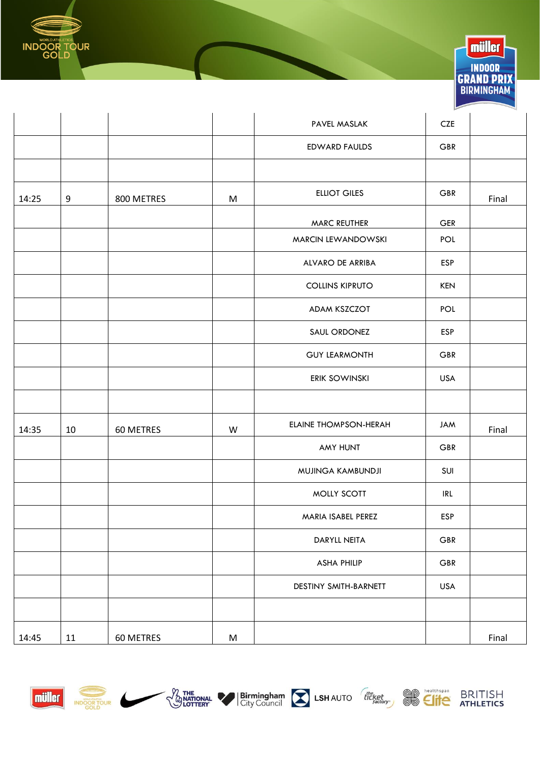



|       |    |            |           |                           | ∽          | ∼.    |
|-------|----|------------|-----------|---------------------------|------------|-------|
|       |    |            |           | PAVEL MASLAK              | <b>CZE</b> |       |
|       |    |            |           | <b>EDWARD FAULDS</b>      | <b>GBR</b> |       |
|       |    |            |           |                           |            |       |
| 14:25 | 9  | 800 METRES | M         | <b>ELLIOT GILES</b>       | <b>GBR</b> | Final |
|       |    |            |           | <b>MARC REUTHER</b>       | <b>GER</b> |       |
|       |    |            |           | <b>MARCIN LEWANDOWSKI</b> | <b>POL</b> |       |
|       |    |            |           | ALVARO DE ARRIBA          | ESP        |       |
|       |    |            |           | <b>COLLINS KIPRUTO</b>    | <b>KEN</b> |       |
|       |    |            |           | ADAM KSZCZOT              | <b>POL</b> |       |
|       |    |            |           | SAUL ORDONEZ              | ESP        |       |
|       |    |            |           | <b>GUY LEARMONTH</b>      | <b>GBR</b> |       |
|       |    |            |           | ERIK SOWINSKI             | <b>USA</b> |       |
|       |    |            |           |                           |            |       |
| 14:35 | 10 | 60 METRES  | W         | ELAINE THOMPSON-HERAH     | <b>JAM</b> | Final |
|       |    |            |           | AMY HUNT                  | <b>GBR</b> |       |
|       |    |            |           | MUJINGA KAMBUNDJI         | SUI        |       |
|       |    |            |           | MOLLY SCOTT               | IRL        |       |
|       |    |            |           | MARIA ISABEL PEREZ        | ESP        |       |
|       |    |            |           | DARYLL NEITA              | GBR        |       |
|       |    |            |           | <b>ASHA PHILIP</b>        | GBR        |       |
|       |    |            |           | DESTINY SMITH-BARNETT     | <b>USA</b> |       |
|       |    |            |           |                           |            |       |
| 14:45 | 11 | 60 METRES  | ${\sf M}$ |                           |            | Final |







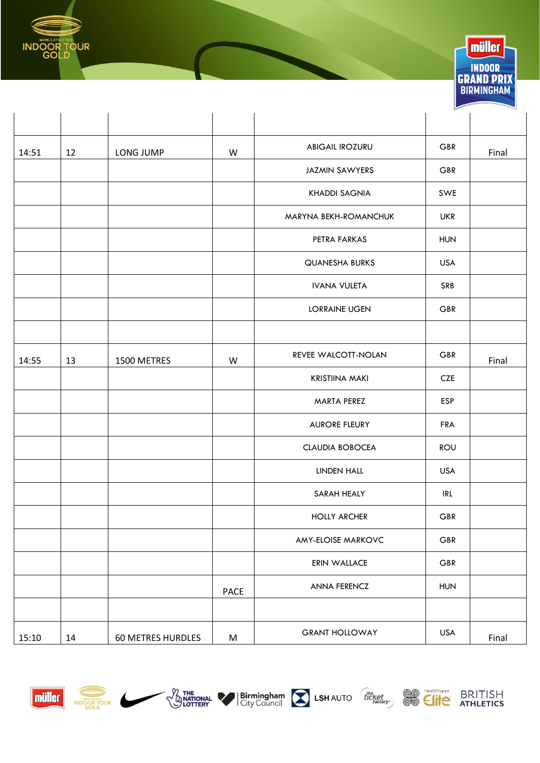



|       |    |                          |             |                           | ∽          | ∼.    |
|-------|----|--------------------------|-------------|---------------------------|------------|-------|
|       |    |                          |             |                           |            |       |
| 14:51 | 12 | LONG JUMP                | W           | <b>ABIGAIL IROZURU</b>    | <b>GBR</b> | Final |
|       |    |                          |             | JAZMIN SAWYERS            | <b>GBR</b> |       |
|       |    |                          |             | <b>KHADDI SAGNIA</b>      | SWE        |       |
|       |    |                          |             | MARYNA BEKH-ROMANCHUK     | <b>UKR</b> |       |
|       |    |                          |             | PETRA FARKAS              | <b>HUN</b> |       |
|       |    |                          |             | <b>QUANESHA BURKS</b>     | <b>USA</b> |       |
|       |    |                          |             | <b>IVANA VULETA</b>       | SRB        |       |
|       |    |                          |             | <b>LORRAINE UGEN</b>      | <b>GBR</b> |       |
|       |    |                          |             |                           |            |       |
| 14:55 | 13 | 1500 METRES              | W           | REVEE WALCOTT-NOLAN       | <b>GBR</b> | Final |
|       |    |                          |             | <b>KRISTIINA MAKI</b>     | <b>CZE</b> |       |
|       |    |                          |             | MARTA PEREZ               | ESP        |       |
|       |    |                          |             | <b>AURORE FLEURY</b>      | <b>FRA</b> |       |
|       |    |                          |             | <b>CLAUDIA BOBOCEA</b>    | <b>ROU</b> |       |
|       |    |                          |             | LINDEN HALL               | <b>USA</b> |       |
|       |    |                          |             | SARAH HEALY               | IRL        |       |
|       |    |                          |             | <b>HOLLY ARCHER</b>       | <b>GBR</b> |       |
|       |    |                          |             | <b>AMY-ELOISE MARKOVC</b> | GBR        |       |
|       |    |                          |             | ERIN WALLACE              | GBR        |       |
|       |    |                          | <b>PACE</b> | <b>ANNA FERENCZ</b>       | <b>HUN</b> |       |
|       |    |                          |             |                           |            |       |
| 15:10 | 14 | <b>60 METRES HURDLES</b> | M           | <b>GRANT HOLLOWAY</b>     | <b>USA</b> | Final |
|       |    |                          |             |                           |            |       |







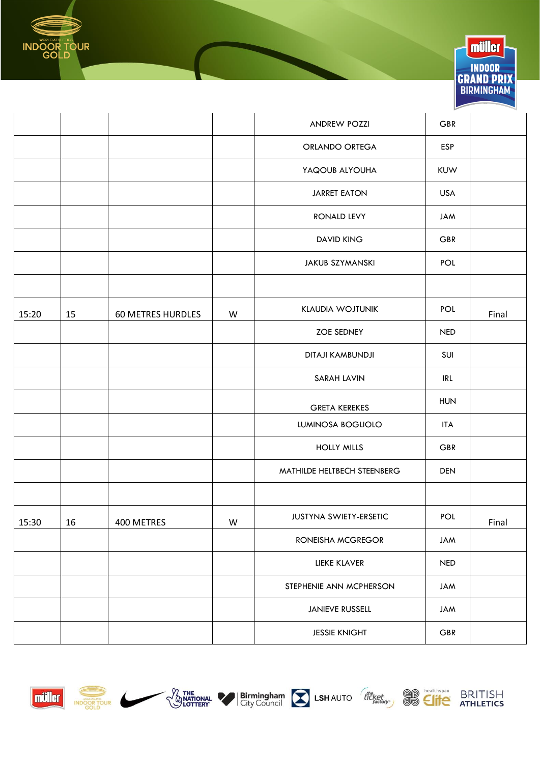

|       |    |                          |           |                             | $\sim$     | ∼     |
|-------|----|--------------------------|-----------|-----------------------------|------------|-------|
|       |    |                          |           | <b>ANDREW POZZI</b>         | <b>GBR</b> |       |
|       |    |                          |           | ORLANDO ORTEGA              | ESP        |       |
|       |    |                          |           | YAQOUB ALYOUHA              | <b>KUW</b> |       |
|       |    |                          |           | <b>JARRET EATON</b>         | <b>USA</b> |       |
|       |    |                          |           | <b>RONALD LEVY</b>          | JAM        |       |
|       |    |                          |           | <b>DAVID KING</b>           | <b>GBR</b> |       |
|       |    |                          |           | <b>JAKUB SZYMANSKI</b>      | POL        |       |
|       |    |                          |           |                             |            |       |
| 15:20 | 15 | <b>60 METRES HURDLES</b> | W         | <b>KLAUDIA WOJTUNIK</b>     | POL        | Final |
|       |    |                          |           | <b>ZOE SEDNEY</b>           | <b>NED</b> |       |
|       |    |                          |           | DITAJI KAMBUNDJI            | SUI        |       |
|       |    |                          |           | <b>SARAH LAVIN</b>          | IRL        |       |
|       |    |                          |           | <b>GRETA KEREKES</b>        | <b>HUN</b> |       |
|       |    |                          |           | LUMINOSA BOGLIOLO           | <b>ITA</b> |       |
|       |    |                          |           | <b>HOLLY MILLS</b>          | <b>GBR</b> |       |
|       |    |                          |           | MATHILDE HELTBECH STEENBERG | <b>DEN</b> |       |
|       |    |                          |           |                             |            |       |
| 15:30 | 16 | 400 METRES               | ${\sf W}$ | JUSTYNA SWIETY-ERSETIC      | POL        | Final |
|       |    |                          |           | RONEISHA MCGREGOR           | JAM        |       |
|       |    |                          |           | LIEKE KLAVER                | <b>NED</b> |       |
|       |    |                          |           | STEPHENIE ANN MCPHERSON     | <b>JAM</b> |       |
|       |    |                          |           | <b>JANIEVE RUSSELL</b>      | JAM        |       |
|       |    |                          |           | <b>JESSIE KNIGHT</b>        | GBR        |       |
|       |    |                          |           |                             |            |       |



**INDOOR TOUR** 













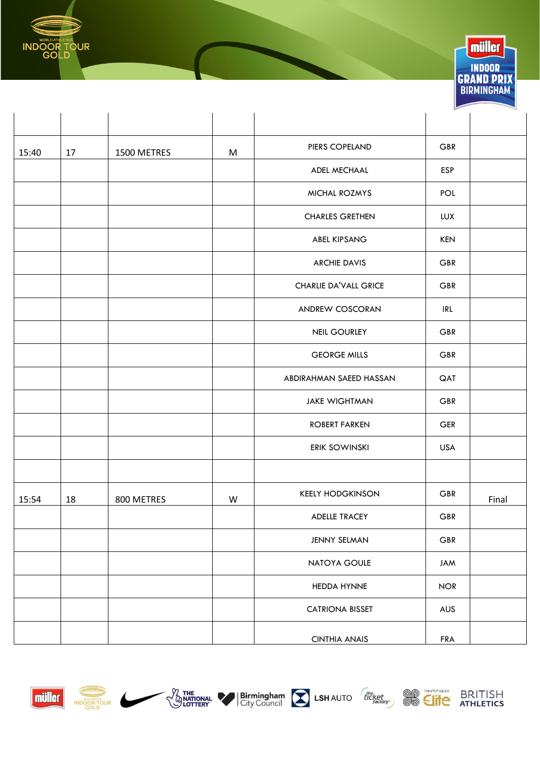



|       |    |             |   |                              | ∽           | ∼.    |
|-------|----|-------------|---|------------------------------|-------------|-------|
|       |    |             |   |                              |             |       |
| 15:40 | 17 | 1500 METRES | M | PIERS COPELAND               | <b>GBR</b>  |       |
|       |    |             |   | ADEL MECHAAL                 | ESP         |       |
|       |    |             |   | MICHAL ROZMYS                | POL         |       |
|       |    |             |   | <b>CHARLES GRETHEN</b>       | LUX         |       |
|       |    |             |   | <b>ABEL KIPSANG</b>          | <b>KEN</b>  |       |
|       |    |             |   | <b>ARCHIE DAVIS</b>          | <b>GBR</b>  |       |
|       |    |             |   | <b>CHARLIE DA'VALL GRICE</b> | <b>GBR</b>  |       |
|       |    |             |   | ANDREW COSCORAN              | IRL         |       |
|       |    |             |   | <b>NEIL GOURLEY</b>          | <b>GBR</b>  |       |
|       |    |             |   | <b>GEORGE MILLS</b>          | <b>GBR</b>  |       |
|       |    |             |   | ABDIRAHMAN SAEED HASSAN      | QAT         |       |
|       |    |             |   | <b>JAKE WIGHTMAN</b>         | <b>GBR</b>  |       |
|       |    |             |   | <b>ROBERT FARKEN</b>         | <b>GER</b>  |       |
|       |    |             |   | ERIK SOWINSKI                | <b>USA</b>  |       |
|       |    |             |   |                              |             |       |
| 15:54 | 18 | 800 METRES  | W | <b>KEELY HODGKINSON</b>      | <b>GBR</b>  | Final |
|       |    |             |   | ADELLE TRACEY                | <b>GBR</b>  |       |
|       |    |             |   | <b>JENNY SELMAN</b>          | GBR         |       |
|       |    |             |   | NATOYA GOULE                 | JAM         |       |
|       |    |             |   | HEDDA HYNNE                  | <b>NOR</b>  |       |
|       |    |             |   | <b>CATRIONA BISSET</b>       | AUS         |       |
|       |    |             |   | <b>CINTHIA ANAIS</b>         | ${\sf FRA}$ |       |